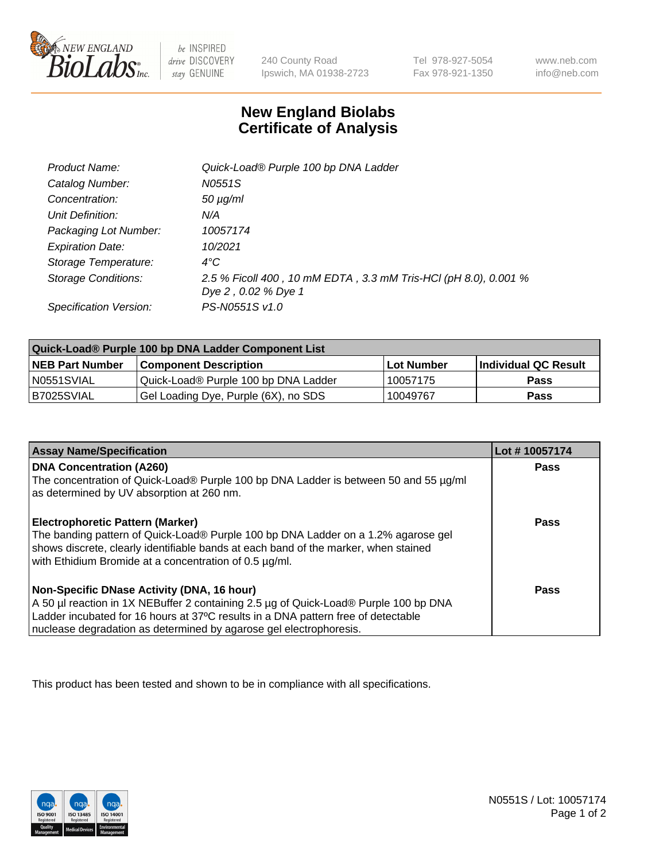

 $be$  INSPIRED drive DISCOVERY stay GENUINE

240 County Road Ipswich, MA 01938-2723 Tel 978-927-5054 Fax 978-921-1350

www.neb.com info@neb.com

## **New England Biolabs Certificate of Analysis**

| Product Name:           | Quick-Load® Purple 100 bp DNA Ladder                            |
|-------------------------|-----------------------------------------------------------------|
| Catalog Number:         | N0551S                                                          |
| Concentration:          | $50 \mu g/ml$                                                   |
| Unit Definition:        | N/A                                                             |
| Packaging Lot Number:   | 10057174                                                        |
| <b>Expiration Date:</b> | 10/2021                                                         |
| Storage Temperature:    | $4^{\circ}$ C                                                   |
| Storage Conditions:     | 2.5 % Ficoll 400, 10 mM EDTA, 3.3 mM Tris-HCl (pH 8.0), 0.001 % |
|                         | Dye 2, 0.02 % Dye 1                                             |
| Specification Version:  | PS-N0551S v1.0                                                  |

| Quick-Load® Purple 100 bp DNA Ladder Component List |                                      |              |                      |  |
|-----------------------------------------------------|--------------------------------------|--------------|----------------------|--|
| <b>NEB Part Number</b>                              | <b>Component Description</b>         | l Lot Number | Individual QC Result |  |
| N0551SVIAL                                          | Quick-Load® Purple 100 bp DNA Ladder | 10057175     | <b>Pass</b>          |  |
| B7025SVIAL                                          | Gel Loading Dye, Purple (6X), no SDS | 10049767     | <b>Pass</b>          |  |

| <b>Assay Name/Specification</b>                                                                                                                                                                                                                                                               | Lot #10057174 |
|-----------------------------------------------------------------------------------------------------------------------------------------------------------------------------------------------------------------------------------------------------------------------------------------------|---------------|
| <b>DNA Concentration (A260)</b><br>The concentration of Quick-Load® Purple 100 bp DNA Ladder is between 50 and 55 µg/ml<br>as determined by UV absorption at 260 nm.                                                                                                                          | <b>Pass</b>   |
| <b>Electrophoretic Pattern (Marker)</b><br>The banding pattern of Quick-Load® Purple 100 bp DNA Ladder on a 1.2% agarose gel<br>shows discrete, clearly identifiable bands at each band of the marker, when stained<br>with Ethidium Bromide at a concentration of 0.5 µg/ml.                 | <b>Pass</b>   |
| Non-Specific DNase Activity (DNA, 16 hour)<br>A 50 µl reaction in 1X NEBuffer 2 containing 2.5 µg of Quick-Load® Purple 100 bp DNA<br>Ladder incubated for 16 hours at 37°C results in a DNA pattern free of detectable<br>nuclease degradation as determined by agarose gel electrophoresis. | Pass          |

This product has been tested and shown to be in compliance with all specifications.